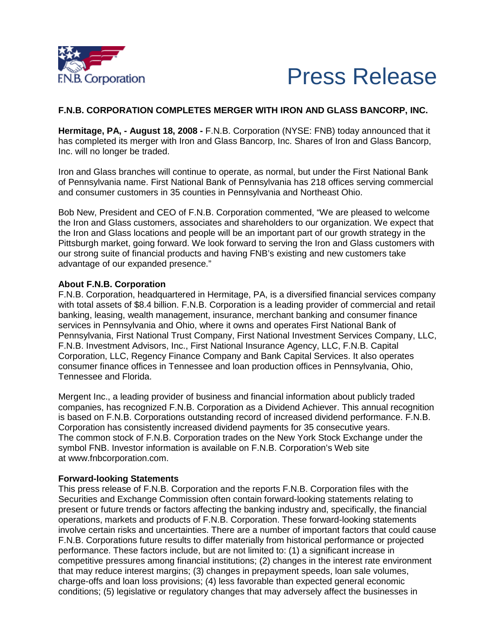



# **F.N.B. CORPORATION COMPLETES MERGER WITH IRON AND GLASS BANCORP, INC.**

**Hermitage, PA, - August 18, 2008 -** F.N.B. Corporation (NYSE: FNB) today announced that it has completed its merger with Iron and Glass Bancorp, Inc. Shares of Iron and Glass Bancorp, Inc. will no longer be traded.

Iron and Glass branches will continue to operate, as normal, but under the First National Bank of Pennsylvania name. First National Bank of Pennsylvania has 218 offices serving commercial and consumer customers in 35 counties in Pennsylvania and Northeast Ohio.

Bob New, President and CEO of F.N.B. Corporation commented, "We are pleased to welcome the Iron and Glass customers, associates and shareholders to our organization. We expect that the Iron and Glass locations and people will be an important part of our growth strategy in the Pittsburgh market, going forward. We look forward to serving the Iron and Glass customers with our strong suite of financial products and having FNB's existing and new customers take advantage of our expanded presence."

#### **About F.N.B. Corporation**

F.N.B. Corporation, headquartered in Hermitage, PA, is a diversified financial services company with total assets of \$8.4 billion. F.N.B. Corporation is a leading provider of commercial and retail banking, leasing, wealth management, insurance, merchant banking and consumer finance services in Pennsylvania and Ohio, where it owns and operates First National Bank of Pennsylvania, First National Trust Company, First National Investment Services Company, LLC, F.N.B. Investment Advisors, Inc., First National Insurance Agency, LLC, F.N.B. Capital Corporation, LLC, Regency Finance Company and Bank Capital Services. It also operates consumer finance offices in Tennessee and loan production offices in Pennsylvania, Ohio, Tennessee and Florida.

Mergent Inc., a leading provider of business and financial information about publicly traded companies, has recognized F.N.B. Corporation as a Dividend Achiever. This annual recognition is based on F.N.B. Corporations outstanding record of increased dividend performance. F.N.B. Corporation has consistently increased dividend payments for 35 consecutive years. The common stock of F.N.B. Corporation trades on the New York Stock Exchange under the symbol FNB. Investor information is available on F.N.B. Corporation's Web site at [www.fnbcorporation.com.](https://www.fnb-online.com/leaving-site?href=http%3A//www.fnbcorporation.com/)

#### **Forward-looking Statements**

This press release of F.N.B. Corporation and the reports F.N.B. Corporation files with the Securities and Exchange Commission often contain forward-looking statements relating to present or future trends or factors affecting the banking industry and, specifically, the financial operations, markets and products of F.N.B. Corporation. These forward-looking statements involve certain risks and uncertainties. There are a number of important factors that could cause F.N.B. Corporations future results to differ materially from historical performance or projected performance. These factors include, but are not limited to: (1) a significant increase in competitive pressures among financial institutions; (2) changes in the interest rate environment that may reduce interest margins; (3) changes in prepayment speeds, loan sale volumes, charge-offs and loan loss provisions; (4) less favorable than expected general economic conditions; (5) legislative or regulatory changes that may adversely affect the businesses in